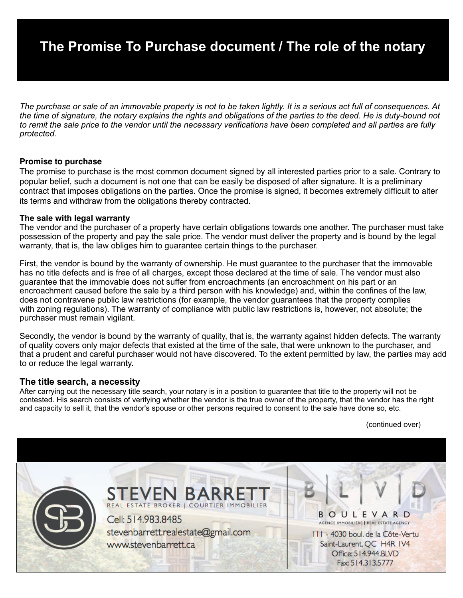# **The Promise To Purchase document / The role of the notary**

*The purchase or sale of an immovable property is not to be taken lightly. It is a serious act full of consequences. At the time of signature, the notary explains the rights and obligations of the parties to the deed. He is duty-bound not to remit the sale price to the vendor until the necessary verifications have been completed and all parties are fully protected.* 

### **Promise to purchase**

The promise to purchase is the most common document signed by all interested parties prior to a sale. Contrary to popular belief, such a document is not one that can be easily be disposed of after signature. It is a preliminary contract that imposes obligations on the parties. Once the promise is signed, it becomes extremely difficult to alter its terms and withdraw from the obligations thereby contracted.

#### **The sale with legal warranty**

The vendor and the purchaser of a property have certain obligations towards one another. The purchaser must take possession of the property and pay the sale price. The vendor must deliver the property and is bound by the legal warranty, that is, the law obliges him to guarantee certain things to the purchaser.

First, the vendor is bound by the warranty of ownership. He must guarantee to the purchaser that the immovable has no title defects and is free of all charges, except those declared at the time of sale. The vendor must also guarantee that the immovable does not suffer from encroachments (an encroachment on his part or an encroachment caused before the sale by a third person with his knowledge) and, within the confines of the law, does not contravene public law restrictions (for example, the vendor guarantees that the property complies with zoning regulations). The warranty of compliance with public law restrictions is, however, not absolute; the purchaser must remain vigilant.

Secondly, the vendor is bound by the warranty of quality, that is, the warranty against hidden defects. The warranty of quality covers only major defects that existed at the time of the sale, that were unknown to the purchaser, and that a prudent and careful purchaser would not have discovered. To the extent permitted by law, the parties may add to or reduce the legal warranty.

### **The title search, a necessity**

After carrying out the necessary title search, your notary is in a position to guarantee that title to the property will not be contested. His search consists of verifying whether the vendor is the true owner of the property, that the vendor has the right and capacity to sell it, that the vendor's spouse or other persons required to consent to the sale have done so, etc.

(continued over)